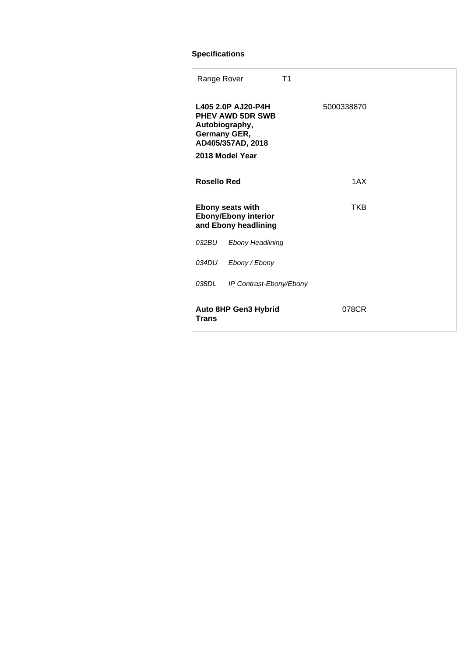## **Specifications**

| Range Rover                                                                    |                                                                                                                         | T <sub>1</sub> |
|--------------------------------------------------------------------------------|-------------------------------------------------------------------------------------------------------------------------|----------------|
|                                                                                | L405 2.0P AJ20-P4H<br><b>PHEV AWD 5DR SWB</b><br>Autobiography,<br>Germany GER,<br>AD405/357AD, 2018<br>2018 Model Year | 5000338870     |
| <b>Rosello Red</b>                                                             |                                                                                                                         | 1AX            |
| <b>Ebony seats with</b><br><b>Ebony/Ebony interior</b><br>and Ebony headlining |                                                                                                                         | TKB            |
| 032BU                                                                          | <b>Ebony Headlining</b>                                                                                                 |                |
| 034DU                                                                          | Ebony / Ebony                                                                                                           |                |
| 038DL                                                                          | IP Contrast-Ebony/Ebony                                                                                                 |                |
| <b>Auto 8HP Gen3 Hybrid</b><br><b>Trans</b>                                    |                                                                                                                         | 078CR          |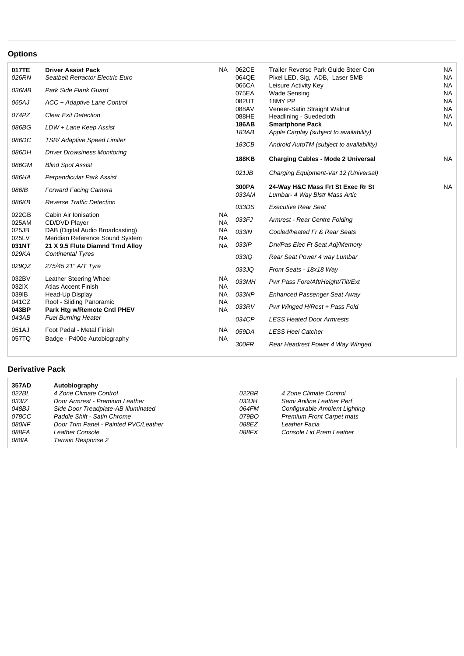## **Options**

| 017TE<br>026RN<br>036MB<br>065AJ | <b>Driver Assist Pack</b><br>Seatbelt Retractor Electric Euro<br>Park Side Flank Guard<br>ACC + Adaptive Lane Control | <b>NA</b>                           | 062CE<br>064QE<br>066CA<br>075EA<br>082UT | Trailer Reverse Park Guide Steer Con<br>Pixel LED, Sig, ADB, Laser SMB<br>Leisure Activity Key<br><b>Wade Sensing</b><br>18MY PP | <b>NA</b><br><b>NA</b><br><b>NA</b><br><b>NA</b><br><b>NA</b> |
|----------------------------------|-----------------------------------------------------------------------------------------------------------------------|-------------------------------------|-------------------------------------------|----------------------------------------------------------------------------------------------------------------------------------|---------------------------------------------------------------|
| 074PZ<br>086BG                   | <b>Clear Exit Detection</b><br>LDW + Lane Keep Assist                                                                 |                                     | 088AV<br>088HE<br>186AB<br>183AB          | Veneer-Satin Straight Walnut<br>Headlining - Suedecloth<br><b>Smartphone Pack</b><br>Apple Carplay (subject to availability)     | <b>NA</b><br><b>NA</b><br><b>NA</b>                           |
| 086DC<br>086DH                   | <b>TSR/ Adaptive Speed Limiter</b><br><b>Driver Drowsiness Monitoring</b>                                             |                                     | 183CB                                     | Android AutoTM (subject to availability)                                                                                         |                                                               |
| 086GM                            | <b>Blind Spot Assist</b>                                                                                              |                                     | <b>188KB</b>                              | <b>Charging Cables - Mode 2 Universal</b>                                                                                        | NA.                                                           |
| 086HA                            | Perpendicular Park Assist                                                                                             |                                     | 021JB<br>300PA                            | Charging Equipment-Var 12 (Universal)<br>24-Way H&C Mass Frt St Exec Rr St                                                       | <b>NA</b>                                                     |
| 086IB<br>086KB                   | <b>Forward Facing Camera</b><br><b>Reverse Traffic Detection</b>                                                      |                                     | 033AM                                     | Lumbar- 4 Way Blstr Mass Artic                                                                                                   |                                                               |
| 022GB                            | Cabin Air Ionisation                                                                                                  | <b>NA</b>                           | 033DS<br>033FJ                            | <b>Executive Rear Seat</b><br>Armrest - Rear Centre Folding                                                                      |                                                               |
| 025AM<br>025JB<br>025LV          | CD/DVD Player<br>DAB (Digital Audio Broadcasting)<br>Meridian Reference Sound System                                  | <b>NA</b><br><b>NA</b><br><b>NA</b> | 033IN                                     | Cooled/heated Fr & Rear Seats                                                                                                    |                                                               |
| 031NT<br>029KA                   | 21 X 9.5 Flute Diamnd Trnd Alloy<br><b>Continental Tyres</b>                                                          | <b>NA</b>                           | 033IP                                     | Drv/Pas Elec Ft Seat Adj/Memory                                                                                                  |                                                               |
| 029QZ                            | 275/45 21" A/T Tyre                                                                                                   |                                     | 033IQ<br>033JQ                            | Rear Seat Power 4 way Lumbar<br>Front Seats - 18x18 Way                                                                          |                                                               |
| 032BV<br>032IX                   | Leather Steering Wheel<br><b>Atlas Accent Finish</b>                                                                  | NA<br><b>NA</b>                     | 033MH                                     | Pwr Pass Fore/Aft/Height/Tilt/Ext                                                                                                |                                                               |
| 039IB<br>041CZ                   | Head-Up Display<br>Roof - Sliding Panoramic                                                                           | <b>NA</b><br><b>NA</b>              | 033NP<br>033RV                            | Enhanced Passenger Seat Away<br>Pwr Winged H/Rest + Pass Fold                                                                    |                                                               |
| 043BP<br>043AB                   | Park Htg w/Remote Cntl PHEV<br><b>Fuel Burning Heater</b>                                                             | <b>NA</b>                           | 034CP                                     | <b>LESS Heated Door Armrests</b>                                                                                                 |                                                               |
| 051AJ<br>057TQ                   | Foot Pedal - Metal Finish<br>Badge - P400e Autobiography                                                              | <b>NA</b><br><b>NA</b>              | 059DA                                     | <b>LESS Heel Catcher</b>                                                                                                         |                                                               |
|                                  |                                                                                                                       |                                     | 300FR                                     | Rear Headrest Power 4 Way Winged                                                                                                 |                                                               |

## **Derivative Pack**

| 357AD | Autobiography                         |        |                                  |
|-------|---------------------------------------|--------|----------------------------------|
| 022BL | 4 Zone Climate Control                | 022BR  | 4 Zone Climate Control           |
| 033IZ | Door Armrest - Premium Leather        | 0.33JH | Semi Aniline Leather Perf        |
| 048BJ | Side Door Treadplate-AB Illuminated   | 064FM  | Configurable Ambient Lighting    |
| 078CC | Paddle Shift - Satin Chrome           | 079BO  | <b>Premium Front Carpet mats</b> |
| 080NF | Door Trim Panel - Painted PVC/Leather | 088FZ  | Leather Facia                    |
| 088FA | <b>Leather Console</b>                | 088FX  | Console Lid Prem Leather         |
| 088IA | Terrain Response 2                    |        |                                  |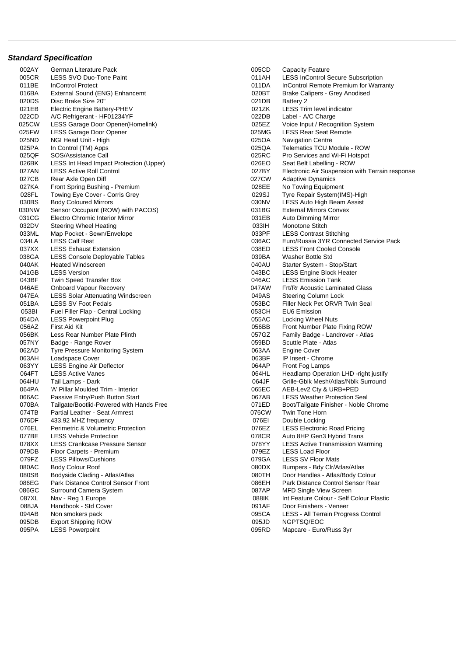## **Standard Specification**

| 002AY | German Literature Pack                   | 005CD | <b>Capacity Feature</b>                         |
|-------|------------------------------------------|-------|-------------------------------------------------|
| 005CR | LESS SVO Duo-Tone Paint                  | 011AH | <b>LESS InControl Secure Subscription</b>       |
| 011BE | <b>InControl Protect</b>                 | 011DA | InControl Remote Premium for Warranty           |
| 016BA | External Sound (ENG) Enhancemt           | 020BT | Brake Calipers - Grey Anodised                  |
| 020DS | Disc Brake Size 20"                      | 021DB | Battery 2                                       |
| 021EB | Electric Engine Battery-PHEV             | 021ZK | <b>LESS Trim level indicator</b>                |
| 022CD | A/C Refrigerant - HF01234YF              | 022DB | Label - A/C Charge                              |
| 025CW | LESS Garage Door Opener(Homelink)        | 025EZ | Voice Input / Recognition System                |
| 025FW | LESS Garage Door Opener                  | 025MG | <b>LESS Rear Seat Remote</b>                    |
| 025ND | NGI Head Unit - High                     | 025OA | <b>Navigation Centre</b>                        |
| 025PA | In Control (TM) Apps                     | 025QA | Telematics TCU Module - ROW                     |
| 025QF | SOS/Assistance Call                      | 025RC | Pro Services and Wi-Fi Hotspot                  |
| 026BK | LESS Int Head Impact Protection (Upper)  | 026EO | Seat Belt Labelling - ROW                       |
| 027AN | <b>LESS Active Roll Control</b>          | 027BY | Electronic Air Suspension with Terrain response |
| 027CB | Rear Axle Open Diff                      | 027CW | Adaptive Dynamics                               |
| 027KA | Front Spring Bushing - Premium           | 028EE | No Towing Equipment                             |
| 028FL | Towing Eye Cover - Corris Grey           | 029SJ | Tyre Repair System(IMS)-High                    |
| 030BS | <b>Body Coloured Mirrors</b>             | 030NV | LESS Auto High Beam Assist                      |
| 030NW | Sensor Occupant (ROW) with PACOS)        | 031BG | <b>External Mirrors Convex</b>                  |
| 031CG | Electro Chromic Interior Mirror          | 031EB | <b>Auto Dimming Mirror</b>                      |
| 032DV |                                          | 033IH | Monotone Stitch                                 |
|       | Steering Wheel Heating                   | 033PF | <b>LESS Contrast Stitching</b>                  |
| 033ML | Map Pocket - Sewn/Envelope               |       | Euro/Russia 3YR Connected Service Pack          |
| 034LA | <b>LESS Calf Rest</b>                    | 036AC |                                                 |
| 037XX | <b>LESS Exhaust Extension</b>            | 038ED | <b>LESS Front Cooled Console</b>                |
| 038GA | <b>LESS Console Deployable Tables</b>    | 039BA | Washer Bottle Std                               |
| 040AK | <b>Heated Windscreen</b>                 | 040AU | Starter System - Stop/Start                     |
| 041GB | <b>LESS Version</b>                      | 043BC | <b>LESS Engine Block Heater</b>                 |
| 043BF | Twin Speed Transfer Box                  | 046AC | <b>LESS Emission Tank</b>                       |
| 046AE | <b>Onboard Vapour Recovery</b>           | 047AW | <b>Frt/Rr Acoustic Laminated Glass</b>          |
| 047EA | <b>LESS Solar Attenuating Windscreen</b> | 049AS | Steering Column Lock                            |
| 051BA | <b>LESS SV Foot Pedals</b>               | 053BC | Filler Neck Pet ORVR Twin Seal                  |
| 053BI | Fuel Filler Flap - Central Locking       | 053CH | <b>EU6 Emission</b>                             |
| 054DA | <b>LESS Powerpoint Plug</b>              | 055AC | Locking Wheel Nuts                              |
| 056AZ | First Aid Kit                            | 056BB | Front Number Plate Fixing ROW                   |
| 056BK | Less Rear Number Plate Plinth            | 057GZ | Family Badge - Landrover - Atlas                |
| 057NY | Badge - Range Rover                      | 059BD | Scuttle Plate - Atlas                           |
| 062AD | <b>Tyre Pressure Monitoring System</b>   | 063AA | <b>Engine Cover</b>                             |
| 063AH | Loadspace Cover                          | 063BF | IP Insert - Chrome                              |
| 063YY | <b>LESS Engine Air Deflector</b>         | 064AP | Front Fog Lamps                                 |
| 064FT | <b>LESS Active Vanes</b>                 | 064HL | Headlamp Operation LHD -right justify           |
| 064HU | Tail Lamps - Dark                        | 064JF | Grille-Gblk Mesh/Atlas/Nblk Surround            |
| 064PA | 'A' Pillar Moulded Trim - Interior       | 065EC | AEB-Lev2 Cty & URB+PED                          |
| 066AC | Passive Entry/Push Button Start          | 067AB | <b>LESS Weather Protection Seal</b>             |
| 070BA | Tailgate/Bootlid-Powered with Hands Free | 071ED | Boot/Tailgate Finisher - Noble Chrome           |
| 074TB | Partial Leather - Seat Armrest           | 076CW | Twin Tone Horn                                  |
| 076DF | 433.92 MHZ frequency                     | 076EI | Double Locking                                  |
| 076EL | Perimetric & Volumetric Protection       | 076EZ | <b>LESS Electronic Road Pricing</b>             |
| 077BE | <b>LESS Vehicle Protection</b>           | 078CR | Auto 8HP Gen3 Hybrid Trans                      |
| 078XX | <b>LESS Crankcase Pressure Sensor</b>    | 078YY | <b>LESS Active Transmission Warming</b>         |
| 079DB | Floor Carpets - Premium                  | 079EZ | <b>LESS Load Floor</b>                          |
| 079FZ | <b>LESS Pillows/Cushions</b>             | 079GA | <b>LESS SV Floor Mats</b>                       |
| 080AC | <b>Body Colour Roof</b>                  | 080DX | Bumpers - Bdy Clr/Atlas/Atlas                   |
| 080SB | Bodyside Clading - Atlas/Atlas           | 080TH | Door Handles - Atlas/Body Colour                |
| 086EG | Park Distance Control Sensor Front       | 086EH | Park Distance Control Sensor Rear               |
| 086GC | Surround Camera System                   | 087AP | <b>MFD Single View Screen</b>                   |
| 087XL | Nav - Reg 1 Europe                       | 088IK | Int Feature Colour - Self Colour Plastic        |
| 088JA | Handbook - Std Cover                     | 091AF | Door Finishers - Veneer                         |
| 094AB | Non smokers pack                         | 095CA | LESS - All Terrain Progress Control             |
| 095DB | <b>Export Shipping ROW</b>               | 095JD | NGPTSQ/EOC                                      |
| 095PA | <b>LESS Powerpoint</b>                   | 095RD | Mapcare - Euro/Russ 3yr                         |
|       |                                          |       |                                                 |